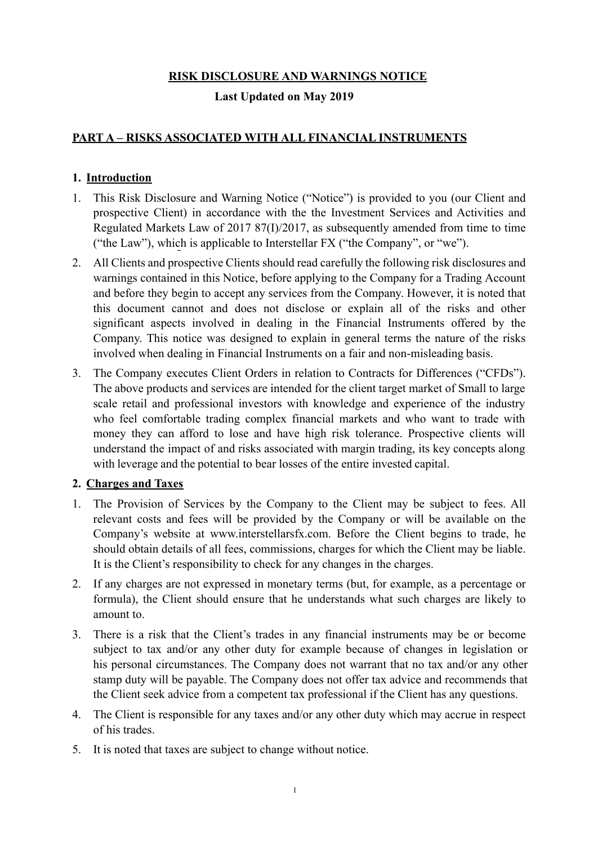# **RISK DISCLOSURE AND WARNINGS NOTICE**

## **Last Updated on May 2019**

# **PART A – RISKS ASSOCIATED WITH ALL FINANCIAL INSTRUMENTS**

# **1. Introduction**

- 1. This Risk Disclosure and Warning Notice ("Notice") is provided to you (our Client and prospective Client) in accordance with the the Investment Services and Activities and Regulated Markets Law of 2017 87(I)/2017, as subsequently amended from time to time ("the Law"), which is applicable to Interstellar FX ("the Company", or "we").
- 2. All Clients and prospective Clients should read carefully the following risk disclosures and warnings contained in this Notice, before applying to the Company for a Trading Account and before they begin to accept any services from the Company. However, it is noted that this document cannot and does not disclose or explain all of the risks and other significant aspects involved in dealing in the Financial Instruments offered by the Company. This notice was designed to explain in general terms the nature of the risks involved when dealing in Financial Instruments on a fair and non-misleading basis.
- 3. The Company executes Client Orders in relation to Contracts for Differences ("CFDs"). The above products and services are intended for the client target market of Small to large scale retail and professional investors with knowledge and experience of the industry who feel comfortable trading complex financial markets and who want to trade with money they can afford to lose and have high risk tolerance. Prospective clients will understand the impact of and risks associated with margin trading, its key concepts along with leverage and the potential to bear losses of the entire invested capital.

## **2. Charges and Taxes**

- 1. The Provision of Services by the Company to the Client may be subject to fees. All relevant costs and fees will be provided by the Company or will be available on the Company's website at www.interstellarsfx.com. Before the Client begins to trade, he should obtain details of all fees, commissions, charges for which the Client may be liable. It is the Client's responsibility to check for any changes in the charges.
- 2. If any charges are not expressed in monetary terms (but, for example, as a percentage or formula), the Client should ensure that he understands what such charges are likely to amount to.
- 3. There is a risk that the Client's trades in any financial instruments may be or become subject to tax and/or any other duty for example because of changes in legislation or his personal circumstances. The Company does not warrant that no tax and/or any other stamp duty will be payable. The Company does not offer tax advice and recommends that the Client seek advice from a competent tax professional if the Client has any questions.
- 4. The Client is responsible for any taxes and/or any other duty which may accrue in respect of his trades.
- 5. It is noted that taxes are subject to change without notice.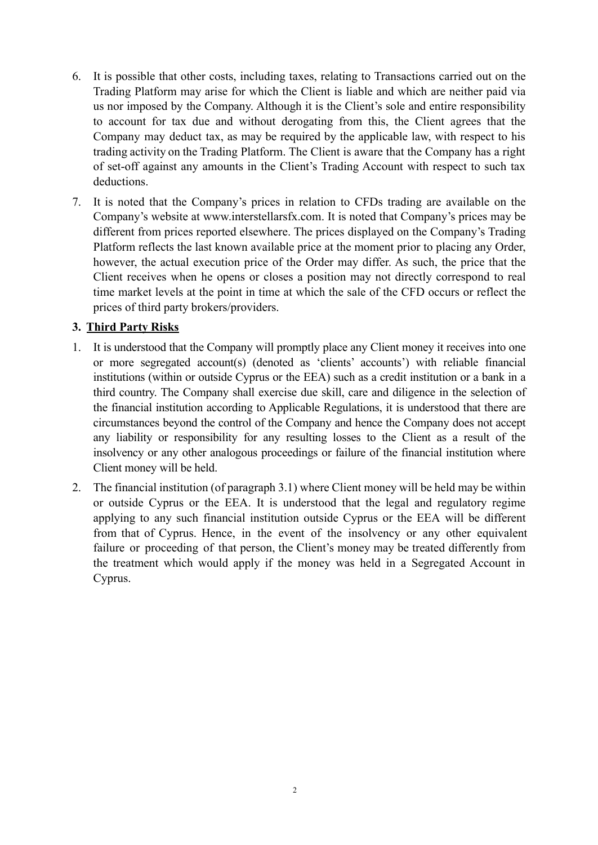- 6. It is possible that other costs, including taxes, relating to Transactions carried out on the Trading Platform may arise for which the Client is liable and which are neither paid via us nor imposed by the Company. Although it is the Client's sole and entire responsibility to account for tax due and without derogating from this, the Client agrees that the Company may deduct tax, as may be required by the applicable law, with respect to his trading activity on the Trading Platform. The Client is aware that the Company has a right of set-off against any amounts in the Client's Trading Account with respect to such tax deductions.
- 7. It is noted that the Company's prices in relation to CFDs trading are available on the Company's website at www.interstellarsfx.com. It is noted that Company's prices may be different from prices reported elsewhere. The prices displayed on the Company's Trading Platform reflects the last known available price at the moment prior to placing any Order, however, the actual execution price of the Order may differ. As such, the price that the Client receives when he opens or closes a position may not directly correspond to real time market levels at the point in time at which the sale of the CFD occurs or reflect the prices of third party brokers/providers.

## **3. Third Party Risks**

- 1. It is understood that the Company will promptly place any Client money it receives into one or more segregated account(s) (denoted as 'clients' accounts') with reliable financial institutions (within or outside Cyprus or the EEA) such as a credit institution or a bank in a third country. The Company shall exercise due skill, care and diligence in the selection of the financial institution according to Applicable Regulations, it is understood that there are circumstances beyond the control of the Company and hence the Company does not accept any liability or responsibility for any resulting losses to the Client as a result of the insolvency or any other analogous proceedings or failure of the financial institution where Client money will be held.
- 2. The financial institution (of paragraph 3.1) where Client money will be held may be within or outside Cyprus or the EEA. It is understood that the legal and regulatory regime applying to any such financial institution outside Cyprus or the EEA will be different from that of Cyprus. Hence, in the event of the insolvency or any other equivalent failure or proceeding of that person, the Client's money may be treated differently from the treatment which would apply if the money was held in a Segregated Account in Cyprus.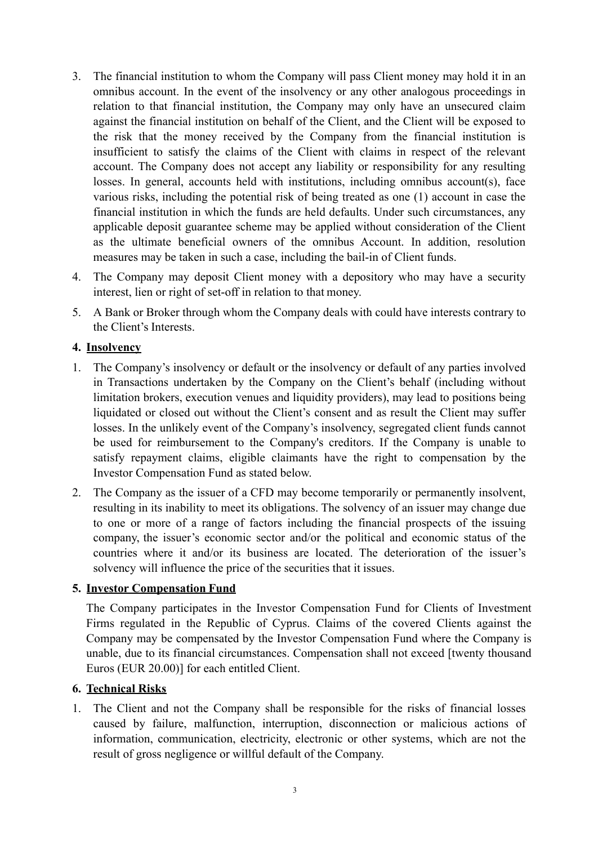- 3. The financial institution to whom the Company will pass Client money may hold it in an omnibus account. In the event of the insolvency or any other analogous proceedings in relation to that financial institution, the Company may only have an unsecured claim against the financial institution on behalf of the Client, and the Client will be exposed to the risk that the money received by the Company from the financial institution is insufficient to satisfy the claims of the Client with claims in respect of the relevant account. The Company does not accept any liability or responsibility for any resulting losses. In general, accounts held with institutions, including omnibus account(s), face various risks, including the potential risk of being treated as one (1) account in case the financial institution in which the funds are held defaults. Under such circumstances, any applicable deposit guarantee scheme may be applied without consideration of the Client as the ultimate beneficial owners of the omnibus Account. In addition, resolution measures may be taken in such a case, including the bail-in of Client funds.
- 4. The Company may deposit Client money with a depository who may have a security interest, lien or right of set-off in relation to that money.
- 5. A Bank or Broker through whom the Company deals with could have interests contrary to the Client's Interests.

### **4. Insolvency**

- 1. The Company's insolvency or default or the insolvency or default of any parties involved in Transactions undertaken by the Company on the Client's behalf (including without limitation brokers, execution venues and liquidity providers), may lead to positions being liquidated or closed out without the Client's consent and as result the Client may suffer losses. In the unlikely event of the Company's insolvency, segregated client funds cannot be used for reimbursement to the Company's creditors. If the Company is unable to satisfy repayment claims, eligible claimants have the right to compensation by the Investor Compensation Fund as stated below.
- 2. The Company as the issuer of a CFD may become temporarily or permanently insolvent, resulting in its inability to meet its obligations. The solvency of an issuer may change due to one or more of a range of factors including the financial prospects of the issuing company, the issuer's economic sector and/or the political and economic status of the countries where it and/or its business are located. The deterioration of the issuer's solvency will influence the price of the securities that it issues.

### **5. Investor Compensation Fund**

The Company participates in the Investor Compensation Fund for Clients of Investment Firms regulated in the Republic of Cyprus. Claims of the covered Clients against the Company may be compensated by the Investor Compensation Fund where the Company is unable, due to its financial circumstances. Compensation shall not exceed [twenty thousand Euros (EUR 20.00)] for each entitled Client.

### **6. Technical Risks**

1. The Client and not the Company shall be responsible for the risks of financial losses caused by failure, malfunction, interruption, disconnection or malicious actions of information, communication, electricity, electronic or other systems, which are not the result of gross negligence or willful default of the Company.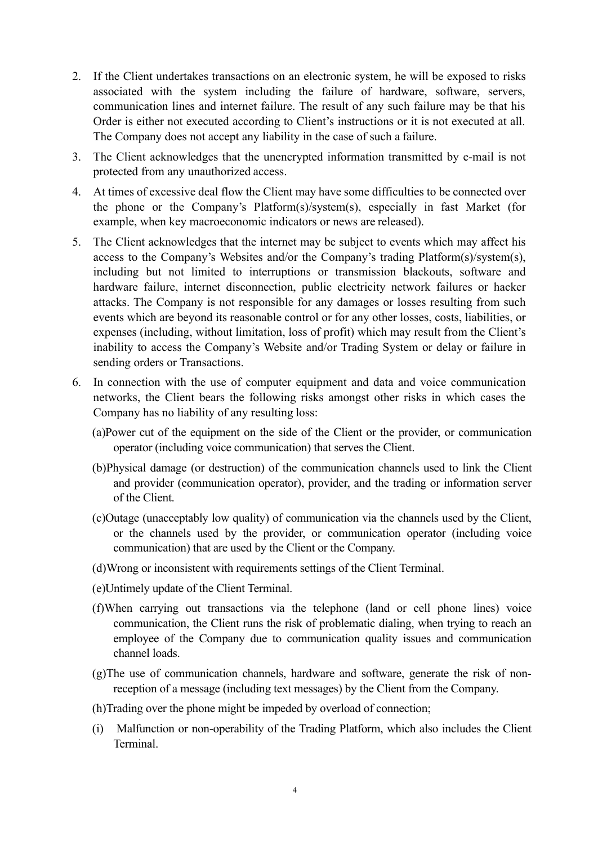- 2. If the Client undertakes transactions on an electronic system, he will be exposed to risks associated with the system including the failure of hardware, software, servers, communication lines and internet failure. The result of any such failure may be that his Order is either not executed according to Client's instructions or it is not executed at all. The Company does not accept any liability in the case of such a failure.
- 3. The Client acknowledges that the unencrypted information transmitted by e-mail is not protected from any unauthorized access.
- 4. At times of excessive deal flow the Client may have some difficulties to be connected over the phone or the Company's Platform(s)/system(s), especially in fast Market (for example, when key macroeconomic indicators or news are released).
- 5. The Client acknowledges that the internet may be subject to events which may affect his access to the Company's Websites and/or the Company's trading Platform(s)/system(s), including but not limited to interruptions or transmission blackouts, software and hardware failure, internet disconnection, public electricity network failures or hacker attacks. The Company is not responsible for any damages or losses resulting from such events which are beyond its reasonable control or for any other losses, costs, liabilities, or expenses (including, without limitation, loss of profit) which may result from the Client's inability to access the Company's Website and/or Trading System or delay or failure in sending orders or Transactions.
- 6. In connection with the use of computer equipment and data and voice communication networks, the Client bears the following risks amongst other risks in which cases the Company has no liability of any resulting loss:
	- (a)Power cut of the equipment on the side of the Client or the provider, or communication operator (including voice communication) that serves the Client.
	- (b)Physical damage (or destruction) of the communication channels used to link the Client and provider (communication operator), provider, and the trading or information server of the Client.
	- (c)Outage (unacceptably low quality) of communication via the channels used by the Client, or the channels used by the provider, or communication operator (including voice communication) that are used by the Client or the Company.
	- (d)Wrong or inconsistent with requirements settings of the Client Terminal.
	- (e)Untimely update of the Client Terminal.
	- (f)When carrying out transactions via the telephone (land or cell phone lines) voice communication, the Client runs the risk of problematic dialing, when trying to reach an employee of the Company due to communication quality issues and communication channel loads.
	- (g)The use of communication channels, hardware and software, generate the risk of nonreception of a message (including text messages) by the Client from the Company.
	- (h)Trading over the phone might be impeded by overload of connection;
	- (i) Malfunction or non-operability of the Trading Platform, which also includes the Client Terminal.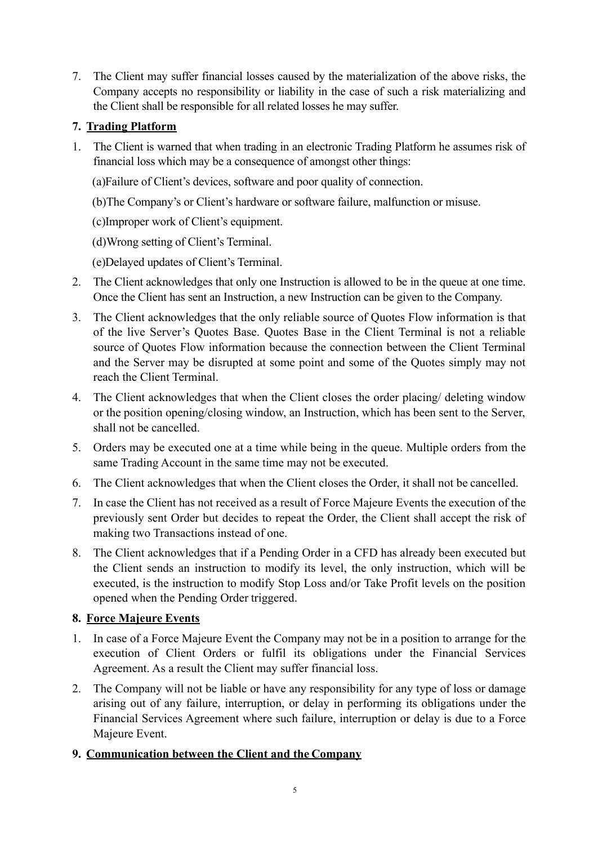7. The Client may suffer financial losses caused by the materialization of the above risks, the Company accepts no responsibility or liability in the case of such a risk materializing and the Client shall be responsible for all related losses he may suffer.

# **7. Trading Platform**

1. The Client is warned that when trading in an electronic Trading Platform he assumes risk of financial loss which may be a consequence of amongst other things:

(a)Failure of Client's devices, software and poor quality of connection.

(b)The Company's or Client's hardware or software failure, malfunction or misuse.

(c)Improper work of Client's equipment.

(d)Wrong setting of Client's Terminal.

(e)Delayed updates of Client's Terminal.

- 2. The Client acknowledges that only one Instruction is allowed to be in the queue at one time. Once the Client has sent an Instruction, a new Instruction can be given to the Company.
- 3. The Client acknowledges that the only reliable source of Quotes Flow information is that of the live Server's Quotes Base. Quotes Base in the Client Terminal is not a reliable source of Quotes Flow information because the connection between the Client Terminal and the Server may be disrupted at some point and some of the Quotes simply may not reach the Client Terminal.
- 4. The Client acknowledges that when the Client closes the order placing/ deleting window or the position opening/closing window, an Instruction, which has been sent to the Server, shall not be cancelled.
- 5. Orders may be executed one at a time while being in the queue. Multiple orders from the same Trading Account in the same time may not be executed.
- 6. The Client acknowledges that when the Client closes the Order, it shall not be cancelled.
- 7. In case the Client has not received as a result of Force Majeure Events the execution of the previously sent Order but decides to repeat the Order, the Client shall accept the risk of making two Transactions instead of one.
- 8. The Client acknowledges that if a Pending Order in a CFD has already been executed but the Client sends an instruction to modify its level, the only instruction, which will be executed, is the instruction to modify Stop Loss and/or Take Profit levels on the position opened when the Pending Order triggered.

# **8. Force Majeure Events**

- 1. In case of a Force Majeure Event the Company may not be in a position to arrange for the execution of Client Orders or fulfil its obligations under the Financial Services Agreement. As a result the Client may suffer financial loss.
- 2. The Company will not be liable or have any responsibility for any type of loss or damage arising out of any failure, interruption, or delay in performing its obligations under the Financial Services Agreement where such failure, interruption or delay is due to a Force Majeure Event.

# **9. Communication between the Client and the Company**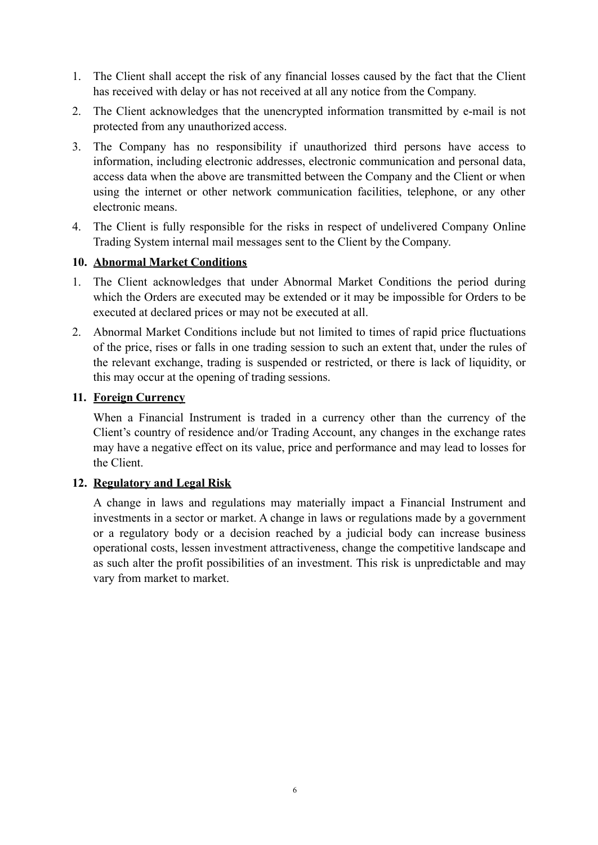- 1. The Client shall accept the risk of any financial losses caused by the fact that the Client has received with delay or has not received at all any notice from the Company.
- 2. The Client acknowledges that the unencrypted information transmitted by e-mail is not protected from any unauthorized access.
- 3. The Company has no responsibility if unauthorized third persons have access to information, including electronic addresses, electronic communication and personal data, access data when the above are transmitted between the Company and the Client or when using the internet or other network communication facilities, telephone, or any other electronic means.
- 4. The Client is fully responsible for the risks in respect of undelivered Company Online Trading System internal mail messages sent to the Client by the Company.

### **10. Abnormal Market Conditions**

- 1. The Client acknowledges that under Abnormal Market Conditions the period during which the Orders are executed may be extended or it may be impossible for Orders to be executed at declared prices or may not be executed at all.
- 2. Abnormal Market Conditions include but not limited to times of rapid price fluctuations of the price, rises or falls in one trading session to such an extent that, under the rules of the relevant exchange, trading is suspended or restricted, or there is lack of liquidity, or this may occur at the opening of trading sessions.

#### **11. Foreign Currency**

When a Financial Instrument is traded in a currency other than the currency of the Client's country of residence and/or Trading Account, any changes in the exchange rates may have a negative effect on its value, price and performance and may lead to losses for the Client.

### **12. Regulatory and Legal Risk**

A change in laws and regulations may materially impact a Financial Instrument and investments in a sector or market. A change in laws or regulations made by a government or a regulatory body or a decision reached by a judicial body can increase business operational costs, lessen investment attractiveness, change the competitive landscape and as such alter the profit possibilities of an investment. This risk is unpredictable and may vary from market to market.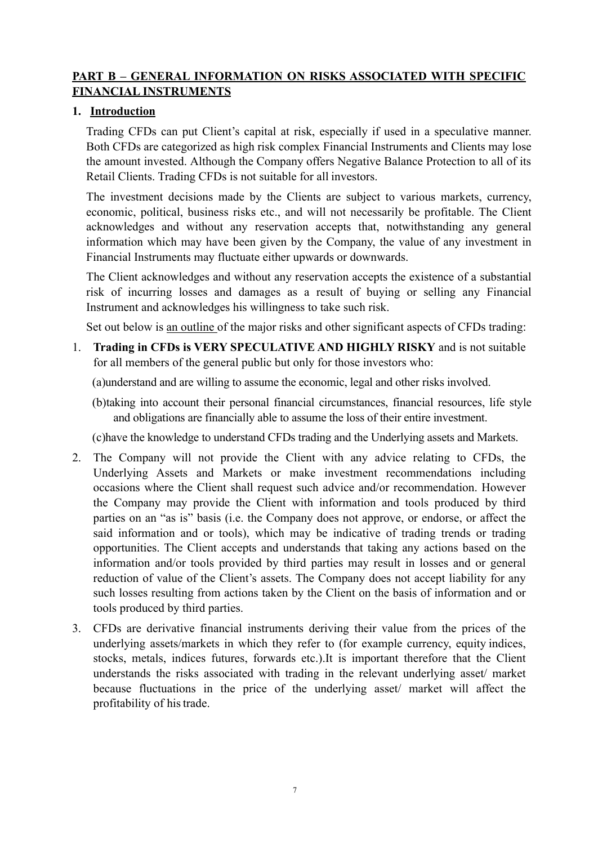## **PART B – GENERAL INFORMATION ON RISKS ASSOCIATED WITH SPECIFIC FINANCIAL INSTRUMENTS**

# **1. Introduction**

Trading CFDs can put Client's capital at risk, especially if used in a speculative manner. Both CFDs are categorized as high risk complex Financial Instruments and Clients may lose the amount invested. Although the Company offers Negative Balance Protection to all of its Retail Clients. Trading CFDs is not suitable for all investors.

The investment decisions made by the Clients are subject to various markets, currency, economic, political, business risks etc., and will not necessarily be profitable. The Client acknowledges and without any reservation accepts that, notwithstanding any general information which may have been given by the Company, the value of any investment in Financial Instruments may fluctuate either upwards or downwards.

The Client acknowledges and without any reservation accepts the existence of a substantial risk of incurring losses and damages as a result of buying or selling any Financial Instrument and acknowledges his willingness to take such risk.

Set out below is an outline of the major risks and other significant aspects of CFDs trading:

1. **Trading in CFDs is VERY SPECULATIVE AND HIGHLY RISKY** and is not suitable for all members of the general public but only for those investors who:

(a)understand and are willing to assume the economic, legal and other risks involved.

(b)taking into account their personal financial circumstances, financial resources, life style and obligations are financially able to assume the loss of their entire investment.

(c)have the knowledge to understand CFDs trading and the Underlying assets and Markets.

- 2. The Company will not provide the Client with any advice relating to CFDs, the Underlying Assets and Markets or make investment recommendations including occasions where the Client shall request such advice and/or recommendation. However the Company may provide the Client with information and tools produced by third parties on an "as is" basis (i.e. the Company does not approve, or endorse, or affect the said information and or tools), which may be indicative of trading trends or trading opportunities. The Client accepts and understands that taking any actions based on the information and/or tools provided by third parties may result in losses and or general reduction of value of the Client's assets. The Company does not accept liability for any such losses resulting from actions taken by the Client on the basis of information and or tools produced by third parties.
- 3. CFDs are derivative financial instruments deriving their value from the prices of the underlying assets/markets in which they refer to (for example currency, equity indices, stocks, metals, indices futures, forwards etc.).It is important therefore that the Client understands the risks associated with trading in the relevant underlying asset/ market because fluctuations in the price of the underlying asset/ market will affect the profitability of histrade.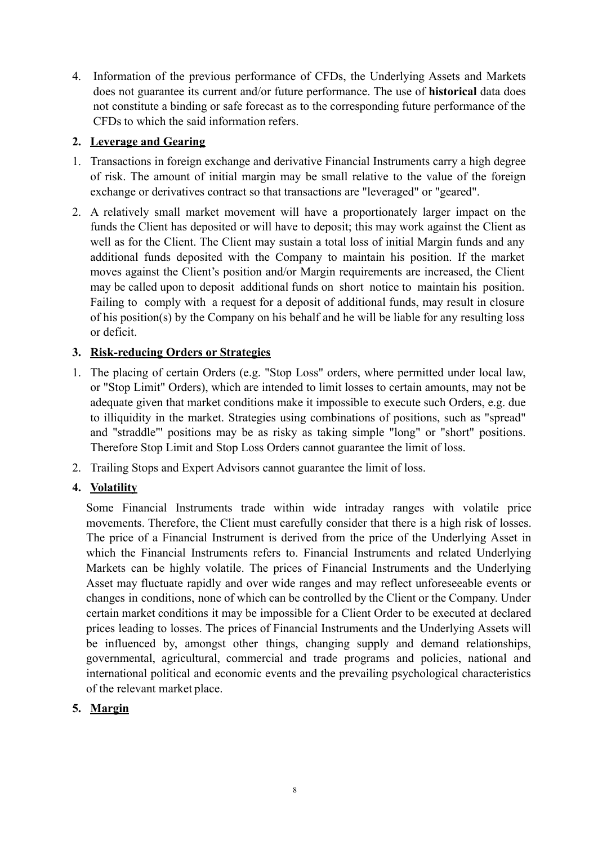4. Information of the previous performance of CFDs, the Underlying Assets and Markets does not guarantee its current and/or future performance. The use of **historical** data does not constitute a binding or safe forecast as to the corresponding future performance of the CFDs to which the said information refers.

# **2. Leverage and Gearing**

- 1. Transactions in foreign exchange and derivative Financial Instruments carry a high degree of risk. The amount of initial margin may be small relative to the value of the foreign exchange or derivatives contract so that transactions are "leveraged" or "geared".
- 2. A relatively small market movement will have a proportionately larger impact on the funds the Client has deposited or will have to deposit; this may work against the Client as well as for the Client. The Client may sustain a total loss of initial Margin funds and any additional funds deposited with the Company to maintain his position. If the market moves against the Client's position and/or Margin requirements are increased, the Client may be called upon to deposit additional funds on short notice to maintain his position. Failing to comply with a request for a deposit of additional funds, may result in closure of his position(s) by the Company on his behalf and he will be liable for any resulting loss or deficit.

# **3. Risk-reducing Orders or Strategies**

- 1. The placing of certain Orders (e.g. "Stop Loss" orders, where permitted under local law, or "Stop Limit" Orders), which are intended to limit losses to certain amounts, may not be adequate given that market conditions make it impossible to execute such Orders, e.g. due to illiquidity in the market. Strategies using combinations of positions, such as "spread" and "straddle"' positions may be as risky as taking simple "long" or "short" positions. Therefore Stop Limit and Stop Loss Orders cannot guarantee the limit of loss.
- 2. Trailing Stops and Expert Advisors cannot guarantee the limit of loss.

## **4. Volatility**

Some Financial Instruments trade within wide intraday ranges with volatile price movements. Therefore, the Client must carefully consider that there is a high risk of losses. The price of a Financial Instrument is derived from the price of the Underlying Asset in which the Financial Instruments refers to. Financial Instruments and related Underlying Markets can be highly volatile. The prices of Financial Instruments and the Underlying Asset may fluctuate rapidly and over wide ranges and may reflect unforeseeable events or changes in conditions, none of which can be controlled by the Client or the Company. Under certain market conditions it may be impossible for a Client Order to be executed at declared prices leading to losses. The prices of Financial Instruments and the Underlying Assets will be influenced by, amongst other things, changing supply and demand relationships, governmental, agricultural, commercial and trade programs and policies, national and international political and economic events and the prevailing psychological characteristics of the relevant market place.

## **5. Margin**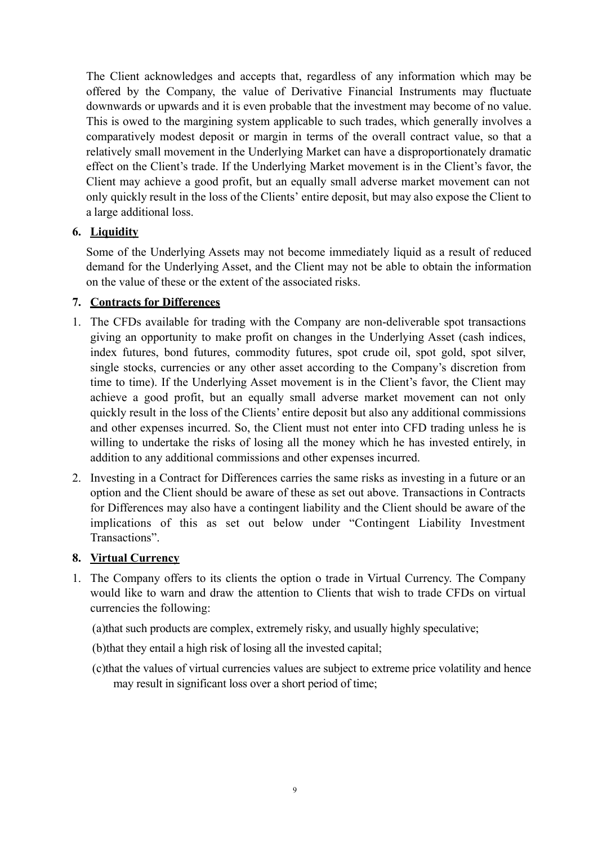The Client acknowledges and accepts that, regardless of any information which may be offered by the Company, the value of Derivative Financial Instruments may fluctuate downwards or upwards and it is even probable that the investment may become of no value. This is owed to the margining system applicable to such trades, which generally involves a comparatively modest deposit or margin in terms of the overall contract value, so that a relatively small movement in the Underlying Market can have a disproportionately dramatic effect on the Client's trade. If the Underlying Market movement is in the Client's favor, the Client may achieve a good profit, but an equally small adverse market movement can not only quickly result in the loss of the Clients' entire deposit, but may also expose the Client to a large additional loss.

## **6. Liquidity**

Some of the Underlying Assets may not become immediately liquid as a result of reduced demand for the Underlying Asset, and the Client may not be able to obtain the information on the value of these or the extent of the associated risks.

### **7. Contracts for Differences**

- 1. The CFDs available for trading with the Company are non-deliverable spot transactions giving an opportunity to make profit on changes in the Underlying Asset (cash indices, index futures, bond futures, commodity futures, spot crude oil, spot gold, spot silver, single stocks, currencies or any other asset according to the Company's discretion from time to time). If the Underlying Asset movement is in the Client's favor, the Client may achieve a good profit, but an equally small adverse market movement can not only quickly result in the loss of the Clients' entire deposit but also any additional commissions and other expenses incurred. So, the Client must not enter into CFD trading unless he is willing to undertake the risks of losing all the money which he has invested entirely, in addition to any additional commissions and other expenses incurred.
- 2. Investing in a Contract for Differences carries the same risks as investing in a future or an option and the Client should be aware of these as set out above. Transactions in Contracts for Differences may also have a contingent liability and the Client should be aware of the implications of this as set out below under "Contingent Liability Investment Transactions".

### **8. Virtual Currency**

1. The Company offers to its clients the option o trade in Virtual Currency. The Company would like to warn and draw the attention to Clients that wish to trade CFDs on virtual currencies the following:

(a)that such products are complex, extremely risky, and usually highly speculative;

- (b)that they entail a high risk of losing all the invested capital;
- (c)that the values of virtual currencies values are subject to extreme price volatility and hence may result in significant loss over a short period of time;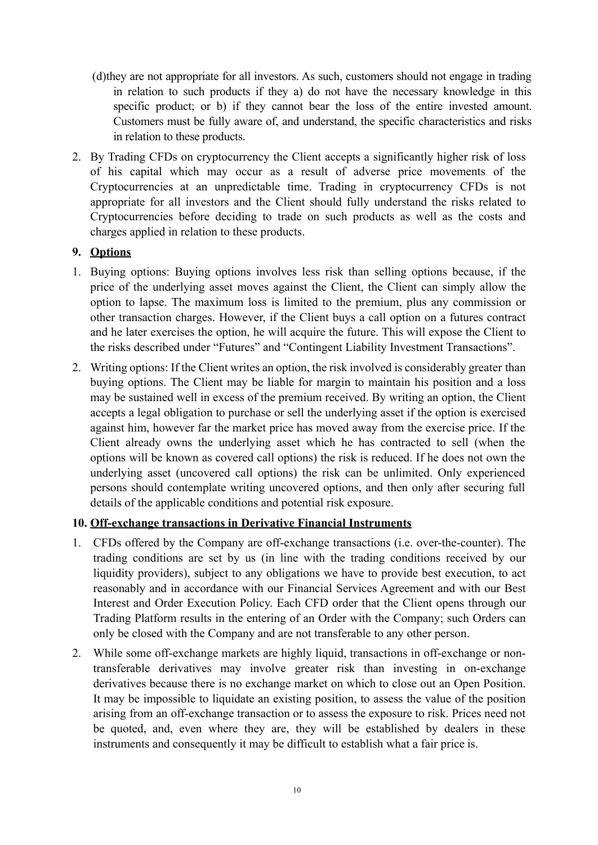- (d)they are not appropriate for all investors. As such, customers should not engage in trading in relation to such products if they a) do not have the necessary knowledge in this specific product; or b) if they cannot bear the loss of the entire invested amount. Customers must be fully aware of, and understand, the specific characteristics and risks in relation to these products.
- 2. By Trading CFDs on cryptocurrency the Client accepts a significantly higher risk of loss of his capital which may occur as a result of adverse price movements of the Cryptocurrencies at an unpredictable time. Trading in cryptocurrency CFDs is not appropriate for all investors and the Client should fully understand the risks related to Cryptocurrencies before deciding to trade on such products as well as the costs and charges applied in relation to these products.

## **9. Options**

- 1. Buying options: Buying options involves less risk than selling options because, if the price of the underlying asset moves against the Client, the Client can simply allow the option to lapse. The maximum loss is limited to the premium, plus any commission or other transaction charges. However, if the Client buys a call option on a futures contract and he later exercises the option, he will acquire the future. This will expose the Client to the risks described under "Futures" and "Contingent Liability Investment Transactions".
- 2. Writing options: If the Client writes an option, the risk involved is considerably greater than buying options. The Client may be liable for margin to maintain his position and a loss may be sustained well in excess of the premium received. By writing an option, the Client accepts a legal obligation to purchase or sell the underlying asset if the option is exercised against him, however far the market price has moved away from the exercise price. If the Client already owns the underlying asset which he has contracted to sell (when the options will be known as covered call options) the risk is reduced. If he does not own the underlying asset (uncovered call options) the risk can be unlimited. Only experienced persons should contemplate writing uncovered options, and then only after securing full details of the applicable conditions and potential risk exposure.

## **10. Off-exchange transactions in Derivative Financial Instruments**

- 1. CFDs offered by the Company are off-exchange transactions (i.e. over-the-counter). The trading conditions are set by us (in line with the trading conditions received by our liquidity providers), subject to any obligations we have to provide best execution, to act reasonably and in accordance with our Financial Services Agreement and with our Best Interest and Order Execution Policy. Each CFD order that the Client opens through our Trading Platform results in the entering of an Order with the Company; such Orders can only be closed with the Company and are not transferable to any other person.
- 2. While some off-exchange markets are highly liquid, transactions in off-exchange or nontransferable derivatives may involve greater risk than investing in on-exchange derivatives because there is no exchange market on which to close out an Open Position. It may be impossible to liquidate an existing position, to assess the value of the position arising from an off-exchange transaction or to assess the exposure to risk. Prices need not be quoted, and, even where they are, they will be established by dealers in these instruments and consequently it may be difficult to establish what a fair price is.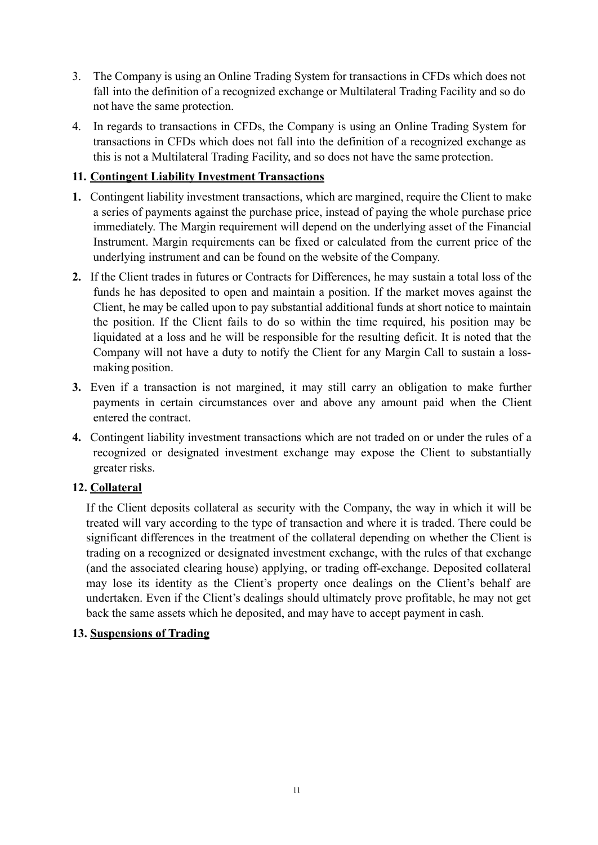- 3. The Company is using an Online Trading System for transactions in CFDs which does not fall into the definition of a recognized exchange or Multilateral Trading Facility and so do not have the same protection.
- 4. In regards to transactions in CFDs, the Company is using an Online Trading System for transactions in CFDs which does not fall into the definition of a recognized exchange as this is not a Multilateral Trading Facility, and so does not have the same protection.

## **11. Contingent Liability Investment Transactions**

- **1.** Contingent liability investment transactions, which are margined, require the Client to make a series of payments against the purchase price, instead of paying the whole purchase price immediately. The Margin requirement will depend on the underlying asset of the Financial Instrument. Margin requirements can be fixed or calculated from the current price of the underlying instrument and can be found on the website of the Company.
- **2.** If the Client trades in futures or Contracts for Differences, he may sustain a total loss of the funds he has deposited to open and maintain a position. If the market moves against the Client, he may be called upon to pay substantial additional funds at short notice to maintain the position. If the Client fails to do so within the time required, his position may be liquidated at a loss and he will be responsible for the resulting deficit. It is noted that the Company will not have a duty to notify the Client for any Margin Call to sustain a lossmaking position.
- **3.** Even if a transaction is not margined, it may still carry an obligation to make further payments in certain circumstances over and above any amount paid when the Client entered the contract.
- **4.** Contingent liability investment transactions which are not traded on or under the rules of a recognized or designated investment exchange may expose the Client to substantially greater risks.

## **12. Collateral**

If the Client deposits collateral as security with the Company, the way in which it will be treated will vary according to the type of transaction and where it is traded. There could be significant differences in the treatment of the collateral depending on whether the Client is trading on a recognized or designated investment exchange, with the rules of that exchange (and the associated clearing house) applying, or trading off-exchange. Deposited collateral may lose its identity as the Client's property once dealings on the Client's behalf are undertaken. Even if the Client's dealings should ultimately prove profitable, he may not get back the same assets which he deposited, and may have to accept payment in cash.

## **13. Suspensions of Trading**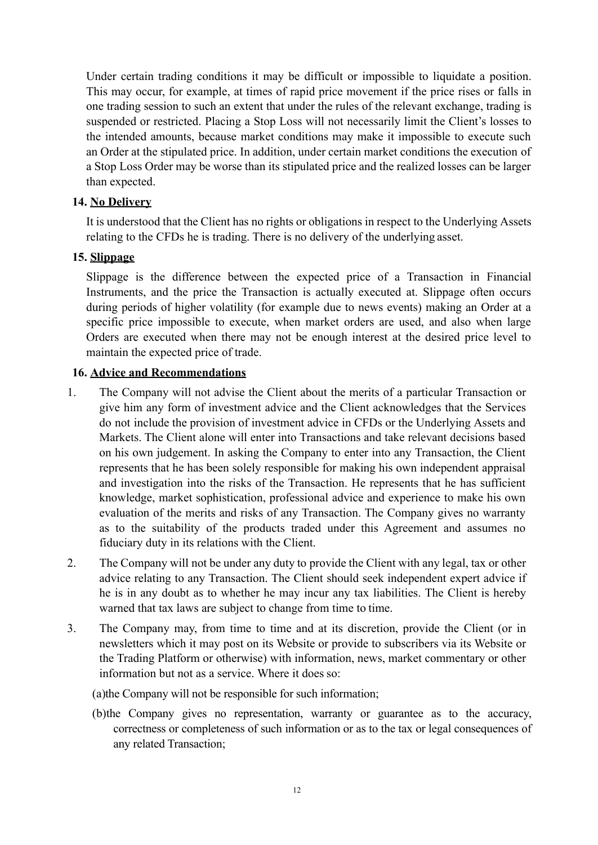Under certain trading conditions it may be difficult or impossible to liquidate a position. This may occur, for example, at times of rapid price movement if the price rises or falls in one trading session to such an extent that under the rules of the relevant exchange, trading is suspended or restricted. Placing a Stop Loss will not necessarily limit the Client's losses to the intended amounts, because market conditions may make it impossible to execute such an Order at the stipulated price. In addition, under certain market conditions the execution of a Stop Loss Order may be worse than its stipulated price and the realized losses can be larger than expected.

### **14. No Delivery**

It is understood that the Client has no rights or obligations in respect to the Underlying Assets relating to the CFDs he is trading. There is no delivery of the underlying asset.

### **15. Slippage**

Slippage is the difference between the expected price of a Transaction in Financial Instruments, and the price the Transaction is actually executed at. Slippage often occurs during periods of higher volatility (for example due to news events) making an Order at a specific price impossible to execute, when market orders are used, and also when large Orders are executed when there may not be enough interest at the desired price level to maintain the expected price of trade.

### **16. Advice and Recommendations**

- 1. The Company will not advise the Client about the merits of a particular Transaction or give him any form of investment advice and the Client acknowledges that the Services do not include the provision of investment advice in CFDs or the Underlying Assets and Markets. The Client alone will enter into Transactions and take relevant decisions based on his own judgement. In asking the Company to enter into any Transaction, the Client represents that he has been solely responsible for making his own independent appraisal and investigation into the risks of the Transaction. He represents that he has sufficient knowledge, market sophistication, professional advice and experience to make his own evaluation of the merits and risks of any Transaction. The Company gives no warranty as to the suitability of the products traded under this Agreement and assumes no fiduciary duty in its relations with the Client.
- 2. The Company will not be under any duty to provide the Client with any legal, tax or other advice relating to any Transaction. The Client should seek independent expert advice if he is in any doubt as to whether he may incur any tax liabilities. The Client is hereby warned that tax laws are subject to change from time to time.
- 3. The Company may, from time to time and at its discretion, provide the Client (or in newsletters which it may post on its Website or provide to subscribers via its Website or the Trading Platform or otherwise) with information, news, market commentary or other information but not as a service. Where it does so:

(a)the Company will not be responsible for such information;

(b)the Company gives no representation, warranty or guarantee as to the accuracy, correctness or completeness of such information or as to the tax or legal consequences of any related Transaction;